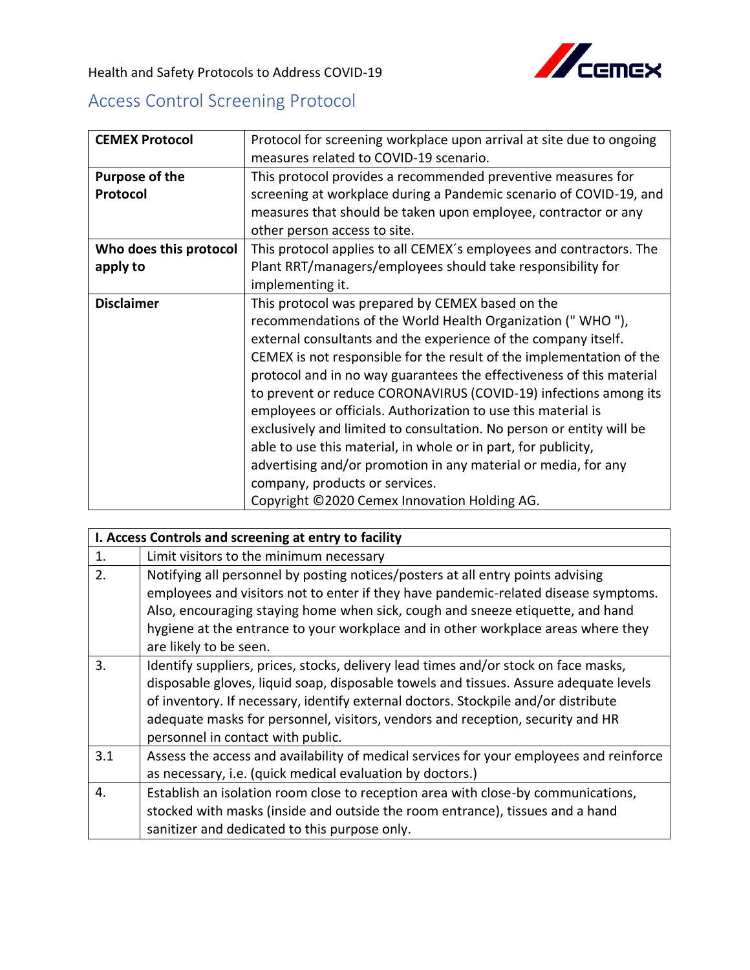

Health and Safety Protocols to Address COVID-19

## Access Control Screening Protocol

| <b>CEMEX Protocol</b>      | Protocol for screening workplace upon arrival at site due to ongoing<br>measures related to COVID-19 scenario.                                                                                                                                                                                                                                                                                                                                                                                                                                                                                                                                                                                                                                                     |
|----------------------------|--------------------------------------------------------------------------------------------------------------------------------------------------------------------------------------------------------------------------------------------------------------------------------------------------------------------------------------------------------------------------------------------------------------------------------------------------------------------------------------------------------------------------------------------------------------------------------------------------------------------------------------------------------------------------------------------------------------------------------------------------------------------|
| Purpose of the<br>Protocol | This protocol provides a recommended preventive measures for<br>screening at workplace during a Pandemic scenario of COVID-19, and<br>measures that should be taken upon employee, contractor or any<br>other person access to site.                                                                                                                                                                                                                                                                                                                                                                                                                                                                                                                               |
| Who does this protocol     | This protocol applies to all CEMEX's employees and contractors. The                                                                                                                                                                                                                                                                                                                                                                                                                                                                                                                                                                                                                                                                                                |
| apply to                   | Plant RRT/managers/employees should take responsibility for<br>implementing it.                                                                                                                                                                                                                                                                                                                                                                                                                                                                                                                                                                                                                                                                                    |
| <b>Disclaimer</b>          | This protocol was prepared by CEMEX based on the<br>recommendations of the World Health Organization ("WHO"),<br>external consultants and the experience of the company itself.<br>CEMEX is not responsible for the result of the implementation of the<br>protocol and in no way guarantees the effectiveness of this material<br>to prevent or reduce CORONAVIRUS (COVID-19) infections among its<br>employees or officials. Authorization to use this material is<br>exclusively and limited to consultation. No person or entity will be<br>able to use this material, in whole or in part, for publicity,<br>advertising and/or promotion in any material or media, for any<br>company, products or services.<br>Copyright ©2020 Cemex Innovation Holding AG. |

| I. Access Controls and screening at entry to facility |                                                                                         |  |
|-------------------------------------------------------|-----------------------------------------------------------------------------------------|--|
| 1.                                                    | Limit visitors to the minimum necessary                                                 |  |
| 2.                                                    | Notifying all personnel by posting notices/posters at all entry points advising         |  |
|                                                       | employees and visitors not to enter if they have pandemic-related disease symptoms.     |  |
|                                                       | Also, encouraging staying home when sick, cough and sneeze etiquette, and hand          |  |
|                                                       | hygiene at the entrance to your workplace and in other workplace areas where they       |  |
|                                                       | are likely to be seen.                                                                  |  |
| 3.                                                    | Identify suppliers, prices, stocks, delivery lead times and/or stock on face masks,     |  |
|                                                       | disposable gloves, liquid soap, disposable towels and tissues. Assure adequate levels   |  |
|                                                       | of inventory. If necessary, identify external doctors. Stockpile and/or distribute      |  |
|                                                       | adequate masks for personnel, visitors, vendors and reception, security and HR          |  |
|                                                       | personnel in contact with public.                                                       |  |
| 3.1                                                   | Assess the access and availability of medical services for your employees and reinforce |  |
|                                                       | as necessary, i.e. (quick medical evaluation by doctors.)                               |  |
| 4.                                                    | Establish an isolation room close to reception area with close-by communications,       |  |
|                                                       | stocked with masks (inside and outside the room entrance), tissues and a hand           |  |
|                                                       | sanitizer and dedicated to this purpose only.                                           |  |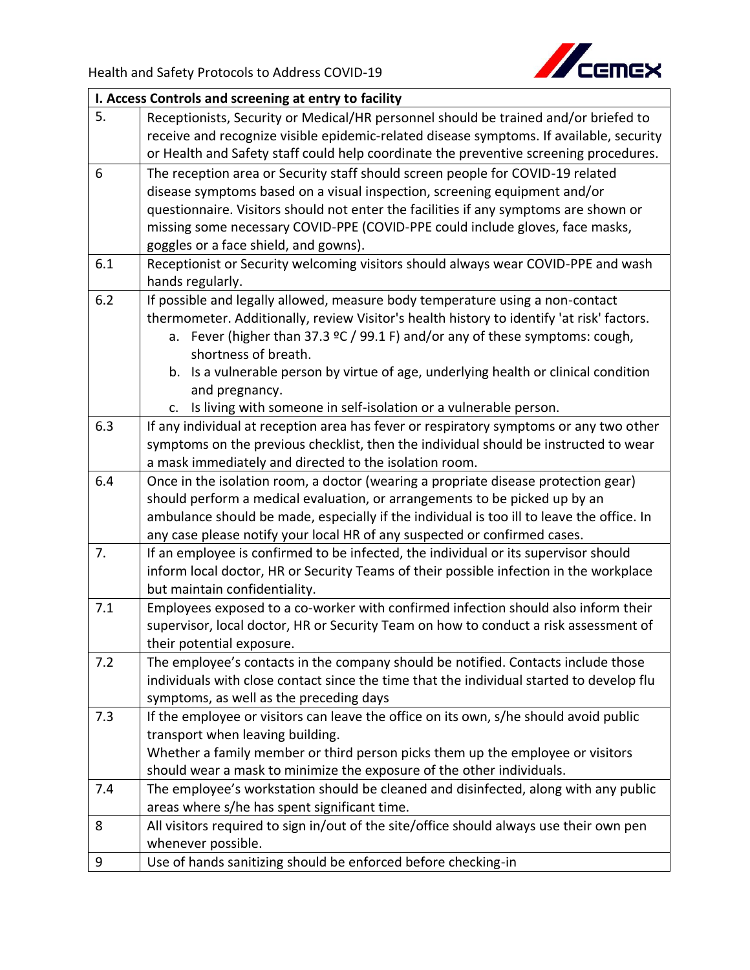

|     | I. Access Controls and screening at entry to facility                                                                                                   |  |  |
|-----|---------------------------------------------------------------------------------------------------------------------------------------------------------|--|--|
| 5.  | Receptionists, Security or Medical/HR personnel should be trained and/or briefed to                                                                     |  |  |
|     | receive and recognize visible epidemic-related disease symptoms. If available, security                                                                 |  |  |
|     | or Health and Safety staff could help coordinate the preventive screening procedures.                                                                   |  |  |
| 6   | The reception area or Security staff should screen people for COVID-19 related                                                                          |  |  |
|     | disease symptoms based on a visual inspection, screening equipment and/or                                                                               |  |  |
|     | questionnaire. Visitors should not enter the facilities if any symptoms are shown or                                                                    |  |  |
|     | missing some necessary COVID-PPE (COVID-PPE could include gloves, face masks,                                                                           |  |  |
|     | goggles or a face shield, and gowns).                                                                                                                   |  |  |
| 6.1 | Receptionist or Security welcoming visitors should always wear COVID-PPE and wash                                                                       |  |  |
|     | hands regularly.                                                                                                                                        |  |  |
| 6.2 | If possible and legally allowed, measure body temperature using a non-contact                                                                           |  |  |
|     | thermometer. Additionally, review Visitor's health history to identify 'at risk' factors.                                                               |  |  |
|     | a. Fever (higher than 37.3 $°C$ / 99.1 F) and/or any of these symptoms: cough,                                                                          |  |  |
|     | shortness of breath.                                                                                                                                    |  |  |
|     | b. Is a vulnerable person by virtue of age, underlying health or clinical condition                                                                     |  |  |
|     | and pregnancy.                                                                                                                                          |  |  |
|     | c. Is living with someone in self-isolation or a vulnerable person.                                                                                     |  |  |
| 6.3 | If any individual at reception area has fever or respiratory symptoms or any two other                                                                  |  |  |
|     | symptoms on the previous checklist, then the individual should be instructed to wear                                                                    |  |  |
|     | a mask immediately and directed to the isolation room.                                                                                                  |  |  |
| 6.4 | Once in the isolation room, a doctor (wearing a propriate disease protection gear)                                                                      |  |  |
|     | should perform a medical evaluation, or arrangements to be picked up by an                                                                              |  |  |
|     | ambulance should be made, especially if the individual is too ill to leave the office. In                                                               |  |  |
|     | any case please notify your local HR of any suspected or confirmed cases.                                                                               |  |  |
| 7.  | If an employee is confirmed to be infected, the individual or its supervisor should                                                                     |  |  |
|     | inform local doctor, HR or Security Teams of their possible infection in the workplace                                                                  |  |  |
|     | but maintain confidentiality.                                                                                                                           |  |  |
| 7.1 | Employees exposed to a co-worker with confirmed infection should also inform their                                                                      |  |  |
|     | supervisor, local doctor, HR or Security Team on how to conduct a risk assessment of                                                                    |  |  |
|     | their potential exposure.                                                                                                                               |  |  |
| 7.2 | The employee's contacts in the company should be notified. Contacts include those                                                                       |  |  |
|     | individuals with close contact since the time that the individual started to develop flu                                                                |  |  |
|     | symptoms, as well as the preceding days                                                                                                                 |  |  |
| 7.3 | If the employee or visitors can leave the office on its own, s/he should avoid public                                                                   |  |  |
|     | transport when leaving building.                                                                                                                        |  |  |
|     | Whether a family member or third person picks them up the employee or visitors<br>should wear a mask to minimize the exposure of the other individuals. |  |  |
|     |                                                                                                                                                         |  |  |
| 7.4 | The employee's workstation should be cleaned and disinfected, along with any public<br>areas where s/he has spent significant time.                     |  |  |
| 8   | All visitors required to sign in/out of the site/office should always use their own pen                                                                 |  |  |
|     | whenever possible.                                                                                                                                      |  |  |
| 9   | Use of hands sanitizing should be enforced before checking-in                                                                                           |  |  |
|     |                                                                                                                                                         |  |  |